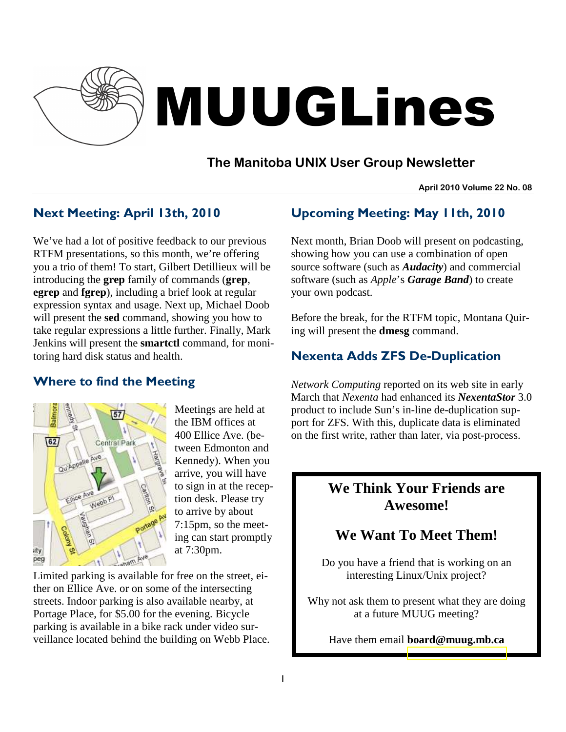

# MUUGLines

# **The Manitoba UNIX User Group Newsletter**

**April 2010 Volume 22 No. 08**

# Next Meeting: April 13th, 2010

We've had a lot of positive feedback to our previous RTFM presentations, so this month, we're offering you a trio of them! To start, Gilbert Detillieux will be introducing the **grep** family of commands (**grep**, **egrep** and **fgrep**), including a brief look at regular expression syntax and usage. Next up, Michael Doob will present the **sed** command, showing you how to take regular expressions a little further. Finally, Mark Jenkins will present the **smartctl** command, for monitoring hard disk status and health.

## Where to find the Meeting



Meetings are held at the IBM offices at 400 Ellice Ave. (between Edmonton and Kennedy). When you arrive, you will have to sign in at the reception desk. Please try to arrive by about 7:15pm, so the meeting can start promptly at 7:30pm.

Limited parking is available for free on the street, either on Ellice Ave. or on some of the intersecting streets. Indoor parking is also available nearby, at Portage Place, for \$5.00 for the evening. Bicycle parking is available in a bike rack under video surveillance located behind the building on Webb Place.

# Upcoming Meeting: May 11th, 2010

Next month, Brian Doob will present on podcasting, showing how you can use a combination of open source software (such as *Audacity*) and commercial software (such as *Apple*'s *Garage Band*) to create your own podcast.

Before the break, for the RTFM topic, Montana Quiring will present the **dmesg** command.

# Nexenta Adds ZFS De-Duplication

*Network Computing* reported on its web site in early March that *Nexenta* had enhanced its *NexentaStor* 3.0 product to include Sun's in-line de-duplication support for ZFS. With this, duplicate data is eliminated on the first write, rather than later, via post-process.

# **We Think Your Friends are Awesome!**

# **We Want To Meet Them!**

Do you have a friend that is working on an interesting Linux/Unix project?

Why not ask them to present what they are doing at a future MUUG meeting?

Have them email **board@muug.mb.ca**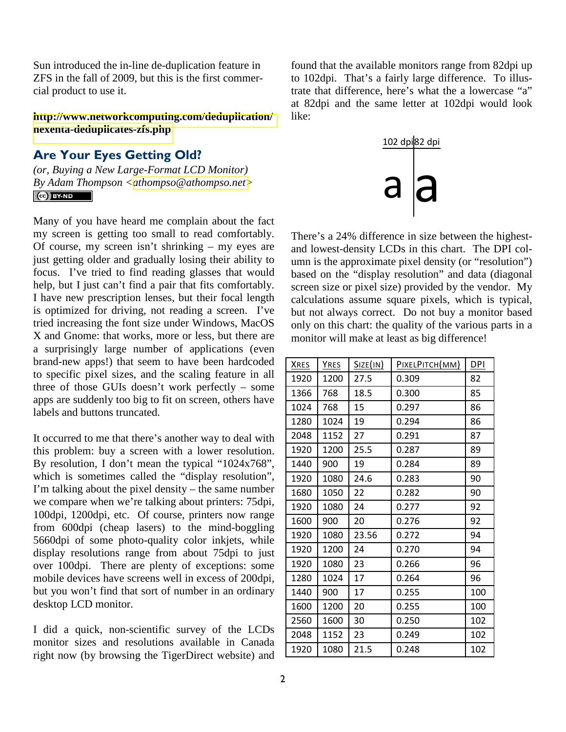Sun introduced the in-line de-duplication feature in ZFS in the fall of 2009, but this is the first commercial product to use it.

**[http://www.networkcomputing.com/deduplication/](http://www.networkcomputing.com/deduplication/nexenta-deduplicates-zfs.php) [nexenta-deduplicates-zfs.php](http://www.networkcomputing.com/deduplication/nexenta-deduplicates-zfs.php)** 

## Are Your Eyes Getting Old?

*(or, Buying a New Large-Format LCD Monitor) By Adam Thompson <[athompso@athompso.net>](mailto:athompso@athompso.net)*   $\left(\text{cc}\right)$  BY-ND

Many of you have heard me complain about the fact my screen is getting too small to read comfortably. Of course, my screen isn't shrinking – my eyes are just getting older and gradually losing their ability to focus. I've tried to find reading glasses that would help, but I just can't find a pair that fits comfortably. I have new prescription lenses, but their focal length is optimized for driving, not reading a screen. I've tried increasing the font size under Windows, MacOS X and Gnome: that works, more or less, but there are a surprisingly large number of applications (even brand-new apps!) that seem to have been hardcoded to specific pixel sizes, and the scaling feature in all three of those GUIs doesn't work perfectly – some apps are suddenly too big to fit on screen, others have labels and buttons truncated.

It occurred to me that there's another way to deal with this problem: buy a screen with a lower resolution. By resolution, I don't mean the typical "1024x768", which is sometimes called the "display resolution", I'm talking about the pixel density – the same number we compare when we're talking about printers: 75dpi, 100dpi, 1200dpi, etc. Of course, printers now range from 600dpi (cheap lasers) to the mind-boggling 5660dpi of some photo-quality color inkjets, while display resolutions range from about 75dpi to just over 100dpi. There are plenty of exceptions: some mobile devices have screens well in excess of 200dpi, but you won't find that sort of number in an ordinary desktop LCD monitor.

I did a quick, non-scientific survey of the LCDs monitor sizes and resolutions available in Canada right now (by browsing the TigerDirect website) and

found that the available monitors range from 82dpi up to 102dpi. That's a fairly large difference. To illustrate that difference, here's what the a lowercase "a" at 82dpi and the same letter at 102dpi would look like:



There's a 24% difference in size between the highestand lowest-density LCDs in this chart. The DPI column is the approximate pixel density (or "resolution") based on the "display resolution" and data (diagonal screen size or pixel size) provided by the vendor. My calculations assume square pixels, which is typical, but not always correct. Do not buy a monitor based only on this chart: the quality of the various parts in a monitor will make at least as big difference!

| <b>XRES</b> | <b>YRES</b> | Size(in) | PIXELPITCH(MM) | <b>DPI</b> |
|-------------|-------------|----------|----------------|------------|
| 1920        | 1200        | 27.5     | 0.309          | 82         |
| 1366        | 768         | 18.5     | 0.300          | 85         |
| 1024        | 768         | 15       | 0.297          | 86         |
| 1280        | 1024        | 19       | 0.294          | 86         |
| 2048        | 1152        | 27       | 0.291          | 87         |
| 1920        | 1200        | 25.5     | 0.287          | 89         |
| 1440        | 900         | 19       | 0.284          | 89         |
| 1920        | 1080        | 24.6     | 0.283          | 90         |
| 1680        | 1050        | 22       | 0.282          | 90         |
| 1920        | 1080        | 24       | 0.277          | 92         |
| 1600        | 900         | 20       | 0.276          | 92         |
| 1920        | 1080        | 23.56    | 0.272          | 94         |
| 1920        | 1200        | 24       | 0.270          | 94         |
| 1920        | 1080        | 23       | 0.266          | 96         |
| 1280        | 1024        | 17       | 0.264          | 96         |
| 1440        | 900         | 17       | 0.255          | 100        |
| 1600        | 1200        | 20       | 0.255          | 100        |
| 2560        | 1600        | 30       | 0.250          | 102        |
| 2048        | 1152        | 23       | 0.249          | 102        |
| 1920        | 1080        | 21.5     | 0.248          | 102        |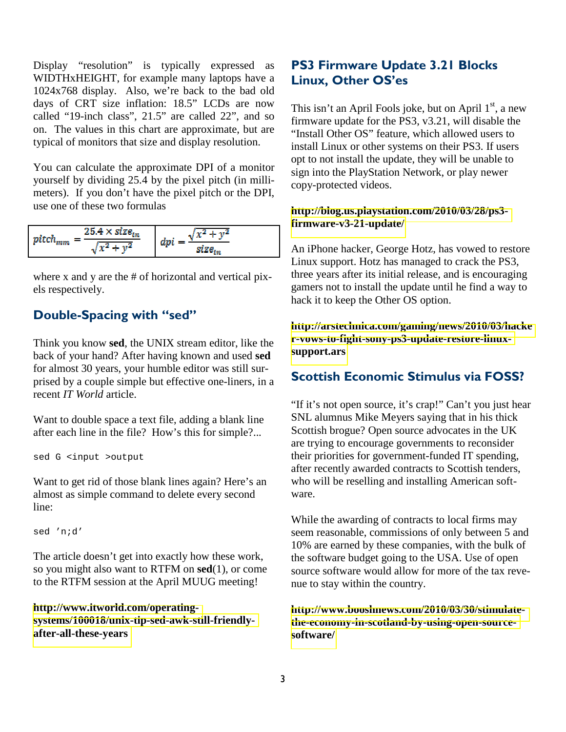Display "resolution" is typically expressed as WIDTHxHEIGHT, for example many laptops have a 1024x768 display. Also, we're back to the bad old days of CRT size inflation: 18.5" LCDs are now called "19-inch class", 21.5" are called 22", and so on. The values in this chart are approximate, but are typical of monitors that size and display resolution.

You can calculate the approximate DPI of a monitor yourself by dividing 25.4 by the pixel pitch (in millimeters). If you don't have the pixel pitch or the DPI, use one of these two formulas

| $pitch$ <sub>mm</sub> | $25.4\times size_{in}$<br>- 61    | $\mathcal{X}^{\mathcal{A}}$<br>المسالد |
|-----------------------|-----------------------------------|----------------------------------------|
|                       | <b>Septime</b><br>$v^z$<br>` ∔- ∖ | size                                   |

where x and y are the # of horizontal and vertical pixels respectively.

## Double-Spacing with "sed"

Think you know **sed**, the UNIX stream editor, like the back of your hand? After having known and used **sed** for almost 30 years, your humble editor was still surprised by a couple simple but effective one-liners, in a recent *IT World* article.

Want to double space a text file, adding a blank line after each line in the file? How's this for simple?...

sed G <input >output

Want to get rid of those blank lines again? Here's an almost as simple command to delete every second line:

sed 'n;d'

The article doesn't get into exactly how these work, so you might also want to RTFM on **sed**(1), or come to the RTFM session at the April MUUG meeting!

**[http://www.itworld.com/operating](http://www.itworld.com/operating-systems/100018/unix-tip-sed-awk-still-friendly-after-all-these-years)[systems/100018/unix-tip-sed-awk-still-friendly](http://www.itworld.com/operating-systems/100018/unix-tip-sed-awk-still-friendly-after-all-these-years)[after-all-these-years](http://www.itworld.com/operating-systems/100018/unix-tip-sed-awk-still-friendly-after-all-these-years)**

# PS3 Firmware Update 3.21 Blocks Linux, Other OS'es

This isn't an April Fools joke, but on April  $1<sup>st</sup>$ , a new firmware update for the PS3, v3.21, will disable the "Install Other OS" feature, which allowed users to install Linux or other systems on their PS3. If users opt to not install the update, they will be unable to sign into the PlayStation Network, or play newer copy-protected videos.

#### **[http://blog.us.playstation.com/2010/03/28/ps3](http://blog.us.playstation.com/2010/03/28/ps3-firmware-v3-21-update/) [firmware-v3-21-update/](http://blog.us.playstation.com/2010/03/28/ps3-firmware-v3-21-update/)**

An iPhone hacker, George Hotz, has vowed to restore Linux support. Hotz has managed to crack the PS3, three years after its initial release, and is encouraging gamers not to install the update until he find a way to hack it to keep the Other OS option.

**[http://arstechnica.com/gaming/news/2010/03/hacke](http://arstechnica.com/gaming/news/2010/03/hacker-vows-to-fight-sony-ps3-update-restore-linux-support.ars) [r-vows-to-fight-sony-ps3-update-restore-linux](http://arstechnica.com/gaming/news/2010/03/hacker-vows-to-fight-sony-ps3-update-restore-linux-support.ars)[support.ars](http://arstechnica.com/gaming/news/2010/03/hacker-vows-to-fight-sony-ps3-update-restore-linux-support.ars)** 

## Scottish Economic Stimulus via FOSS?

"If it's not open source, it's crap!" Can't you just hear SNL alumnus Mike Meyers saying that in his thick Scottish brogue? Open source advocates in the UK are trying to encourage governments to reconsider their priorities for government-funded IT spending, after recently awarded contracts to Scottish tenders, who will be reselling and installing American software.

While the awarding of contracts to local firms may seem reasonable, commissions of only between 5 and 10% are earned by these companies, with the bulk of the software budget going to the USA. Use of open source software would allow for more of the tax revenue to stay within the country.

#### **[http://www.booshnews.com/2010/03/30/stimulate](http://www.booshnews.com/2010/03/30/stimulate-the-economy-in-scotland-by-using-open-source-software/)[the-economy-in-scotland-by-using-open-source](http://www.booshnews.com/2010/03/30/stimulate-the-economy-in-scotland-by-using-open-source-software/)[software/](http://www.booshnews.com/2010/03/30/stimulate-the-economy-in-scotland-by-using-open-source-software/)**